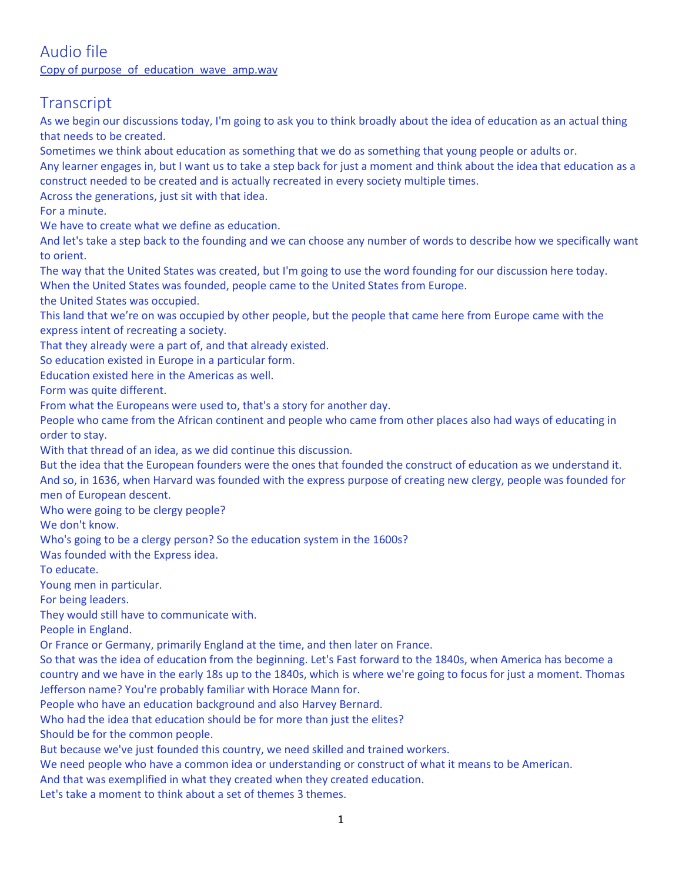### Audio file [Copy of purpose\\_of\\_education\\_wave\\_amp.wav](https://1drv.ms/u/s!APFFptAltqO7j3g)

# **Transcript**

As we begin our discussions today, I'm going to ask you to think broadly about the idea of education as an actual thing that needs to be created.

Sometimes we think about education as something that we do as something that young people or adults or.

Any learner engages in, but I want us to take a step back for just a moment and think about the idea that education as a construct needed to be created and is actually recreated in every society multiple times.

Across the generations, just sit with that idea.

For a minute.

We have to create what we define as education.

And let's take a step back to the founding and we can choose any number of words to describe how we specifically want to orient.

The way that the United States was created, but I'm going to use the word founding for our discussion here today. When the United States was founded, people came to the United States from Europe.

the United States was occupied.

This land that we're on was occupied by other people, but the people that came here from Europe came with the express intent of recreating a society.

That they already were a part of, and that already existed.

So education existed in Europe in a particular form.

Education existed here in the Americas as well.

Form was quite different.

From what the Europeans were used to, that's a story for another day.

People who came from the African continent and people who came from other places also had ways of educating in order to stay.

With that thread of an idea, as we did continue this discussion.

But the idea that the European founders were the ones that founded the construct of education as we understand it. And so, in 1636, when Harvard was founded with the express purpose of creating new clergy, people was founded for

men of European descent.

Who were going to be clergy people?

We don't know.

Who's going to be a clergy person? So the education system in the 1600s?

Was founded with the Express idea.

To educate.

Young men in particular.

For being leaders.

They would still have to communicate with.

People in England.

Or France or Germany, primarily England at the time, and then later on France.

So that was the idea of education from the beginning. Let's Fast forward to the 1840s, when America has become a country and we have in the early 18s up to the 1840s, which is where we're going to focus for just a moment. Thomas Jefferson name? You're probably familiar with Horace Mann for.

People who have an education background and also Harvey Bernard.

Who had the idea that education should be for more than just the elites?

Should be for the common people.

But because we've just founded this country, we need skilled and trained workers.

We need people who have a common idea or understanding or construct of what it means to be American.

And that was exemplified in what they created when they created education.

Let's take a moment to think about a set of themes 3 themes.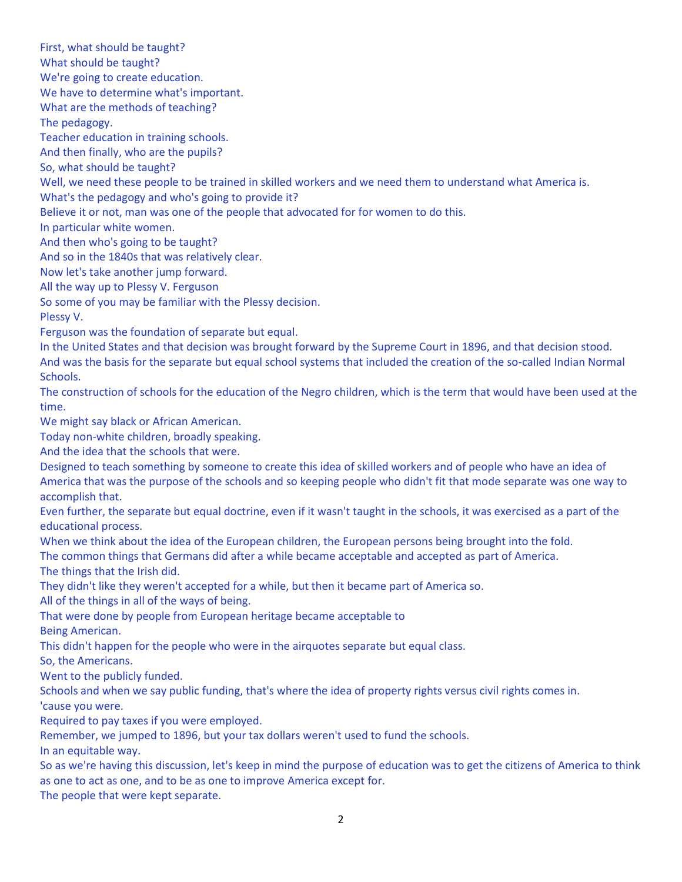First, what should be taught? What should be taught? We're going to create education. We have to determine what's important. What are the methods of teaching? The pedagogy. Teacher education in training schools. And then finally, who are the pupils? So, what should be taught? Well, we need these people to be trained in skilled workers and we need them to understand what America is. What's the pedagogy and who's going to provide it? Believe it or not, man was one of the people that advocated for for women to do this. In particular white women. And then who's going to be taught? And so in the 1840s that was relatively clear. Now let's take another jump forward. All the way up to Plessy V. Ferguson So some of you may be familiar with the Plessy decision. Plessy V. Ferguson was the foundation of separate but equal. In the United States and that decision was brought forward by the Supreme Court in 1896, and that decision stood. And was the basis for the separate but equal school systems that included the creation of the so-called Indian Normal Schools. The construction of schools for the education of the Negro children, which is the term that would have been used at the time. We might say black or African American. Today non-white children, broadly speaking. And the idea that the schools that were. Designed to teach something by someone to create this idea of skilled workers and of people who have an idea of America that was the purpose of the schools and so keeping people who didn't fit that mode separate was one way to accomplish that. Even further, the separate but equal doctrine, even if it wasn't taught in the schools, it was exercised as a part of the educational process. When we think about the idea of the European children, the European persons being brought into the fold. The common things that Germans did after a while became acceptable and accepted as part of America. The things that the Irish did. They didn't like they weren't accepted for a while, but then it became part of America so. All of the things in all of the ways of being. That were done by people from European heritage became acceptable to Being American. This didn't happen for the people who were in the airquotes separate but equal class. So, the Americans. Went to the publicly funded. Schools and when we say public funding, that's where the idea of property rights versus civil rights comes in. 'cause you were. Required to pay taxes if you were employed. Remember, we jumped to 1896, but your tax dollars weren't used to fund the schools. In an equitable way. So as we're having this discussion, let's keep in mind the purpose of education was to get the citizens of America to think as one to act as one, and to be as one to improve America except for. The people that were kept separate.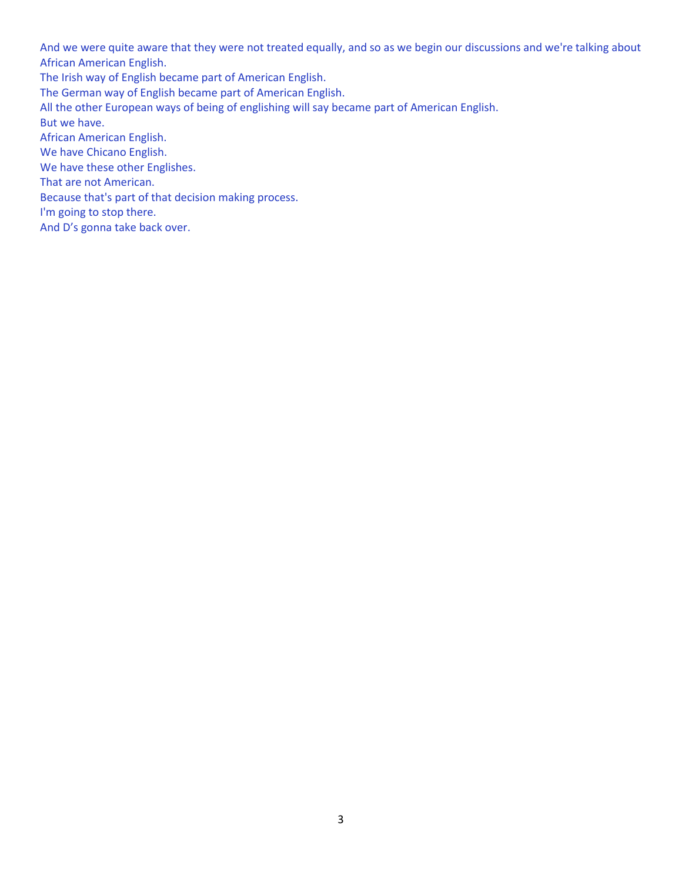And we were quite aware that they were not treated equally, and so as we begin our discussions and we're talking about African American English.

The Irish way of English became part of American English.

The German way of English became part of American English.

All the other European ways of being of englishing will say became part of American English.

But we have.

African American English.

We have Chicano English.

We have these other Englishes.

That are not American.

Because that's part of that decision making process.

I'm going to stop there.

And D's gonna take back over.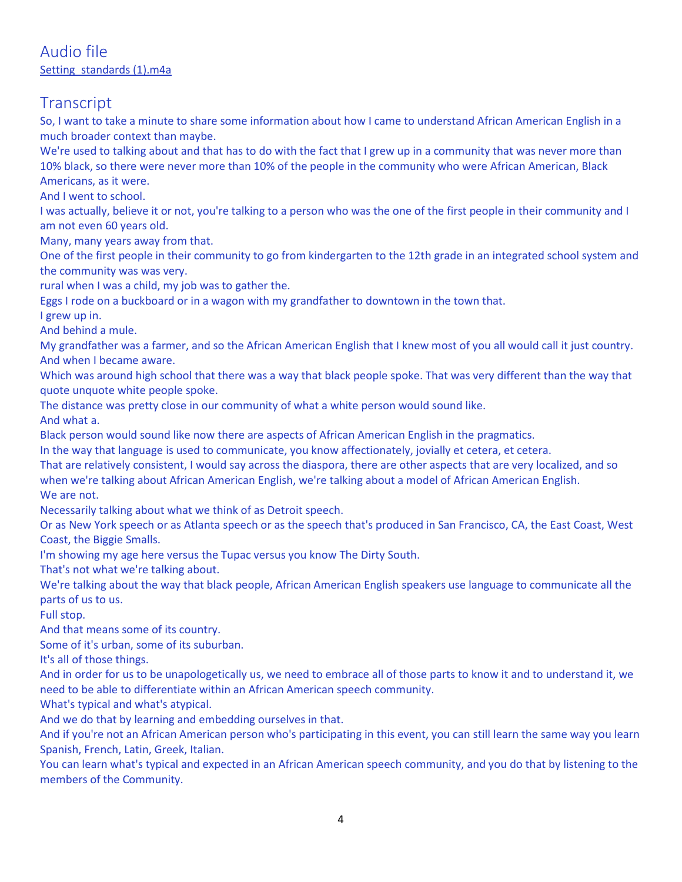# **Transcript**

So, I want to take a minute to share some information about how I came to understand African American English in a much broader context than maybe.

We're used to talking about and that has to do with the fact that I grew up in a community that was never more than 10% black, so there were never more than 10% of the people in the community who were African American, Black Americans, as it were.

And I went to school.

I was actually, believe it or not, you're talking to a person who was the one of the first people in their community and I am not even 60 years old.

Many, many years away from that.

One of the first people in their community to go from kindergarten to the 12th grade in an integrated school system and the community was was very.

rural when I was a child, my job was to gather the.

Eggs I rode on a buckboard or in a wagon with my grandfather to downtown in the town that.

I grew up in.

And behind a mule.

My grandfather was a farmer, and so the African American English that I knew most of you all would call it just country. And when I became aware.

Which was around high school that there was a way that black people spoke. That was very different than the way that quote unquote white people spoke.

The distance was pretty close in our community of what a white person would sound like.

And what a.

Black person would sound like now there are aspects of African American English in the pragmatics.

In the way that language is used to communicate, you know affectionately, jovially et cetera, et cetera.

That are relatively consistent, I would say across the diaspora, there are other aspects that are very localized, and so when we're talking about African American English, we're talking about a model of African American English. We are not.

Necessarily talking about what we think of as Detroit speech.

Or as New York speech or as Atlanta speech or as the speech that's produced in San Francisco, CA, the East Coast, West Coast, the Biggie Smalls.

I'm showing my age here versus the Tupac versus you know The Dirty South.

That's not what we're talking about.

We're talking about the way that black people, African American English speakers use language to communicate all the parts of us to us.

Full stop.

And that means some of its country.

Some of it's urban, some of its suburban.

It's all of those things.

And in order for us to be unapologetically us, we need to embrace all of those parts to know it and to understand it, we need to be able to differentiate within an African American speech community.

What's typical and what's atypical.

And we do that by learning and embedding ourselves in that.

And if you're not an African American person who's participating in this event, you can still learn the same way you learn Spanish, French, Latin, Greek, Italian.

You can learn what's typical and expected in an African American speech community, and you do that by listening to the members of the Community.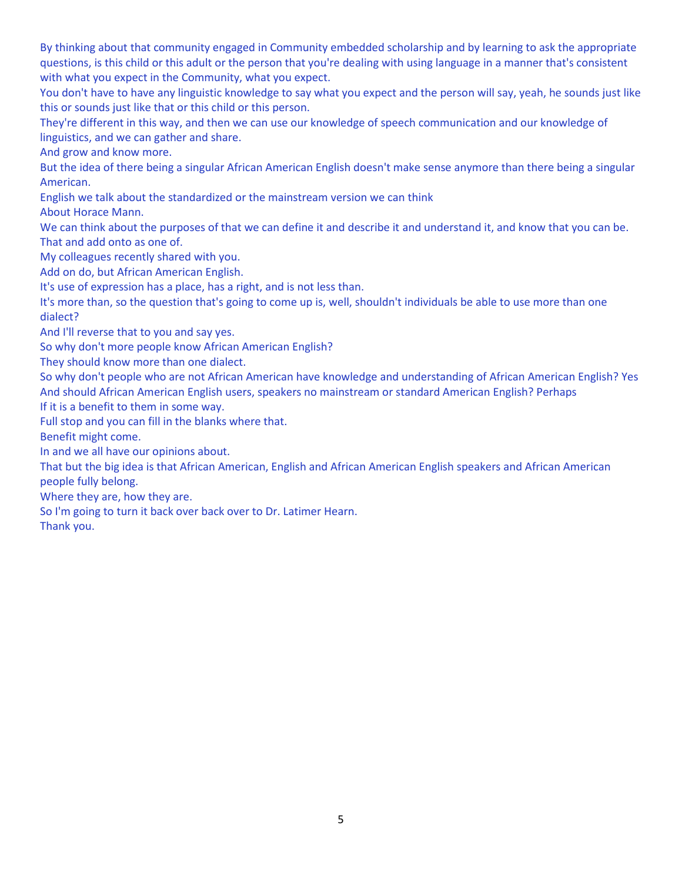By thinking about that community engaged in Community embedded scholarship and by learning to ask the appropriate questions, is this child or this adult or the person that you're dealing with using language in a manner that's consistent with what you expect in the Community, what you expect.

You don't have to have any linguistic knowledge to say what you expect and the person will say, yeah, he sounds just like this or sounds just like that or this child or this person.

They're different in this way, and then we can use our knowledge of speech communication and our knowledge of linguistics, and we can gather and share.

And grow and know more.

But the idea of there being a singular African American English doesn't make sense anymore than there being a singular American.

English we talk about the standardized or the mainstream version we can think

About Horace Mann.

We can think about the purposes of that we can define it and describe it and understand it, and know that you can be. That and add onto as one of.

My colleagues recently shared with you.

Add on do, but African American English.

It's use of expression has a place, has a right, and is not less than.

It's more than, so the question that's going to come up is, well, shouldn't individuals be able to use more than one dialect?

And I'll reverse that to you and say yes.

So why don't more people know African American English?

They should know more than one dialect.

So why don't people who are not African American have knowledge and understanding of African American English? Yes And should African American English users, speakers no mainstream or standard American English? Perhaps If it is a benefit to them in some way.

Full stop and you can fill in the blanks where that.

Benefit might come.

In and we all have our opinions about.

That but the big idea is that African American, English and African American English speakers and African American people fully belong.

Where they are, how they are.

So I'm going to turn it back over back over to Dr. Latimer Hearn.

Thank you.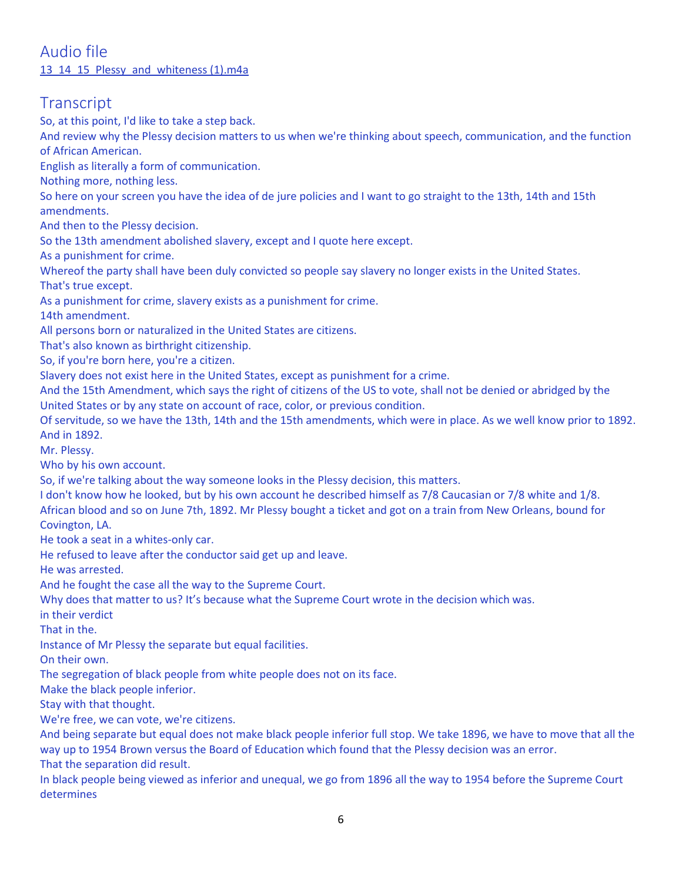### Audio file 13<sup>14</sup> 15 Plessy and whiteness (1).m4a

# **Transcript**

So, at this point, I'd like to take a step back.

And review why the Plessy decision matters to us when we're thinking about speech, communication, and the function of African American.

English as literally a form of communication.

Nothing more, nothing less.

So here on your screen you have the idea of de jure policies and I want to go straight to the 13th, 14th and 15th amendments.

And then to the Plessy decision.

So the 13th amendment abolished slavery, except and I quote here except.

As a punishment for crime.

Whereof the party shall have been duly convicted so people say slavery no longer exists in the United States.

That's true except.

As a punishment for crime, slavery exists as a punishment for crime.

14th amendment.

All persons born or naturalized in the United States are citizens.

That's also known as birthright citizenship.

So, if you're born here, you're a citizen.

Slavery does not exist here in the United States, except as punishment for a crime.

And the 15th Amendment, which says the right of citizens of the US to vote, shall not be denied or abridged by the United States or by any state on account of race, color, or previous condition.

Of servitude, so we have the 13th, 14th and the 15th amendments, which were in place. As we well know prior to 1892. And in 1892.

Mr. Plessy.

Who by his own account.

So, if we're talking about the way someone looks in the Plessy decision, this matters.

I don't know how he looked, but by his own account he described himself as 7/8 Caucasian or 7/8 white and 1/8. African blood and so on June 7th, 1892. Mr Plessy bought a ticket and got on a train from New Orleans, bound for Covington, LA.

He took a seat in a whites-only car.

He refused to leave after the conductor said get up and leave.

He was arrested.

And he fought the case all the way to the Supreme Court.

Why does that matter to us? It's because what the Supreme Court wrote in the decision which was.

in their verdict

That in the.

Instance of Mr Plessy the separate but equal facilities.

On their own.

The segregation of black people from white people does not on its face.

Make the black people inferior.

Stay with that thought.

We're free, we can vote, we're citizens.

And being separate but equal does not make black people inferior full stop. We take 1896, we have to move that all the way up to 1954 Brown versus the Board of Education which found that the Plessy decision was an error. That the separation did result.

In black people being viewed as inferior and unequal, we go from 1896 all the way to 1954 before the Supreme Court determines